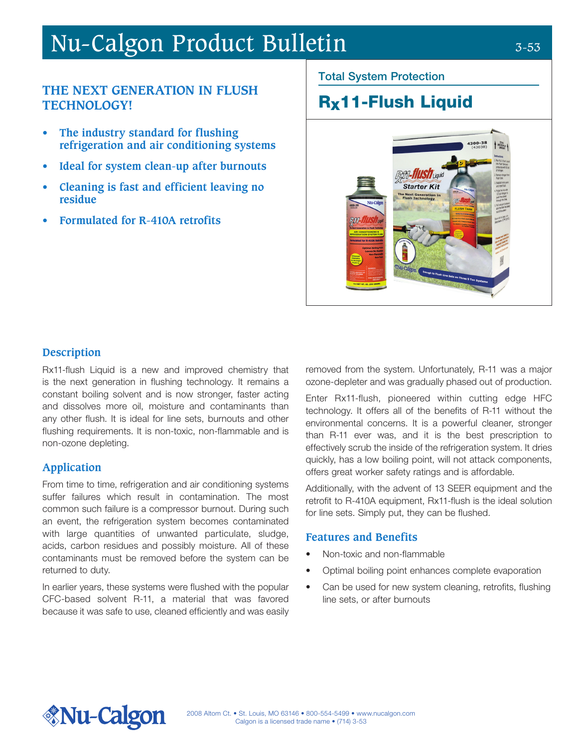# Nu-Calgon Product Bulletin 3-53

# **THE NEXT GENERATION IN FLUSH TECHNOLOGY!**

- **• The industry standard for flushing refrigeration and air conditioning systems**
- **• Ideal for system clean-up after burnouts**
- **• Cleaning is fast and efficient leaving no residue**
- **• Formulated for R-410A retrofits**

#### Total System Protection

# Rx11-Flush Liquid



# **Description**

Rx11-flush Liquid is a new and improved chemistry that is the next generation in flushing technology. It remains a constant boiling solvent and is now stronger, faster acting and dissolves more oil, moisture and contaminants than any other flush. It is ideal for line sets, burnouts and other flushing requirements. It is non-toxic, non-flammable and is non-ozone depleting.

# **Application**

From time to time, refrigeration and air conditioning systems suffer failures which result in contamination. The most common such failure is a compressor burnout. During such an event, the refrigeration system becomes contaminated with large quantities of unwanted particulate, sludge, acids, carbon residues and possibly moisture. All of these contaminants must be removed before the system can be returned to duty.

In earlier years, these systems were flushed with the popular CFC-based solvent R-11, a material that was favored because it was safe to use, cleaned efficiently and was easily removed from the system. Unfortunately, R-11 was a major ozone-depleter and was gradually phased out of production.

Enter Rx11-flush, pioneered within cutting edge HFC technology. It offers all of the benefits of R-11 without the environmental concerns. It is a powerful cleaner, stronger than R-11 ever was, and it is the best prescription to effectively scrub the inside of the refrigeration system. It dries quickly, has a low boiling point, will not attack components, offers great worker safety ratings and is affordable.

Additionally, with the advent of 13 SEER equipment and the retrofit to R-410A equipment, Rx11-flush is the ideal solution for line sets. Simply put, they can be flushed.

#### **Features and Benefits**

- Non-toxic and non-flammable
- Optimal boiling point enhances complete evaporation
- Can be used for new system cleaning, retrofits, flushing line sets, or after burnouts